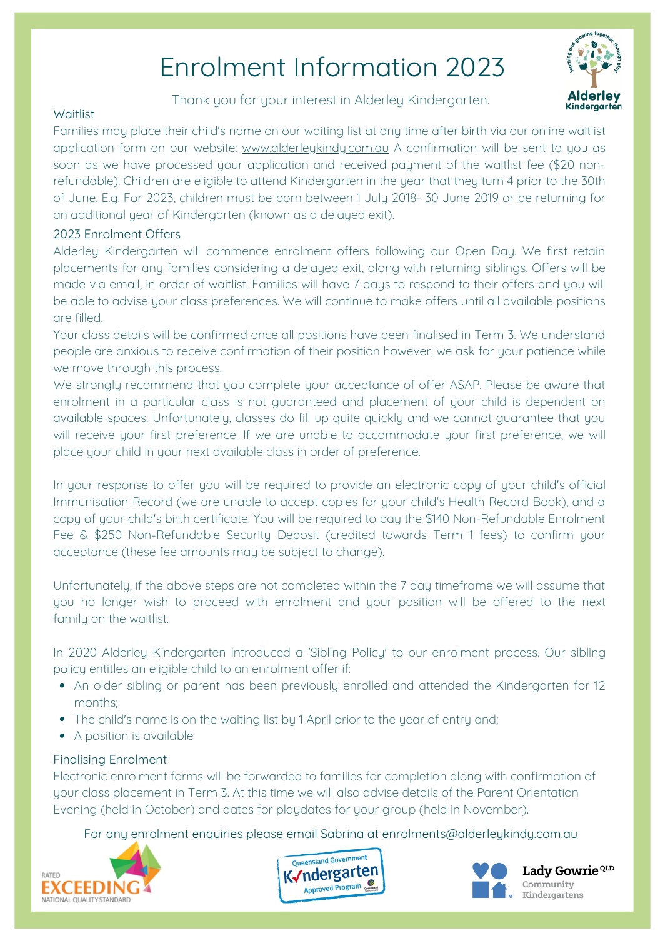# Enrolment Information 2023

Thank you for your interest in Alderley Kindergarten.



### **Waitlist**

Families may place their child's name on our waiting list at any time after birth via our online waitlist application form on our website: www.alderleykindy.com.au A confirmation will be sent to you as soon as we have processed your application and received payment of the waitlist fee (\$20 nonrefundable). Children are eligible to attend Kindergarten in the year that they turn 4 prior to the 30th of June. E.g. For 2023, children must be born between 1 July 2018- 30 June 2019 or be returning for an additional year of Kindergarten (known as a delayed exit).

## 2023 Enrolment Offers

Alderley Kindergarten will commence enrolment offers following our Open Day. We first retain placements for any families considering a delayed exit, along with returning siblings. Offers will be made via email, in order of waitlist. Families will have 7 days to respond to their offers and you will be able to advise your class preferences. We will continue to make offers until all available positions are filled.

Your class details will be confirmed once all positions have been finalised in Term 3. We understand people are anxious to receive confirmation of their position however, we ask for your patience while we move through this process.

We strongly recommend that you complete your acceptance of offer ASAP. Please be aware that enrolment in a particular class is not guaranteed and placement of your child is dependent on available spaces. Unfortunately, classes do fill up quite quickly and we cannot guarantee that you will receive your first preference. If we are unable to accommodate your first preference, we will place your child in your next available class in order of preference.

In your response to offer you will be required to provide an electronic copy of your child's official Immunisation Record (we are unable to accept copies for your child's Health Record Book), and a copy of your child's birth certificate. You will be required to pay the \$140 Non-Refundable Enrolment Fee & \$250 Non-Refundable Security Deposit (credited towards Term 1 fees) to confirm your acceptance (these fee amounts may be subject to change).

Unfortunately, if the above steps are not completed within the 7 day timeframe we will assume that you no longer wish to proceed with enrolment and your position will be offered to the next family on the waitlist.

In 2020 Alderley Kindergarten introduced a 'Sibling Policy' to our enrolment process. Our sibling policy entitles an eligible child to an enrolment offer if:

- An older sibling or parent has been previously enrolled and attended the Kindergarten for 12 months;
- The child's name is on the waiting list by 1 April prior to the year of entry and;
- A position is available

### Finalising Enrolment

Electronic enrolment forms will be forwarded to families for completion along with confirmation of your class placement in Term 3. At this time we will also advise details of the Parent Orientation Evening (held in October) and dates for playdates for your group (held in November).

For any enrolment enquiries please email Sabrina at enrolments@alderleykindy.com.au







Lady Gowrie<sup>QLD</sup> Community Kindergartens